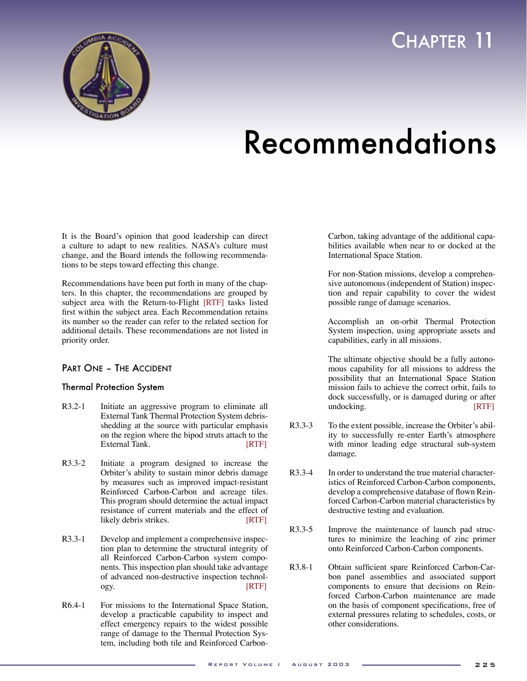# CHAPTER 11



# Recommendations

It is the Board's opinion that good leadership can direct a culture to adapt to new realities. NASA's culture must change, and the Board intends the following recommendations to be steps toward effecting this change.

Recommendations have been put forth in many of the chapters. In this chapter, the recommendations are grouped by subject area with the Return-to-Flight [RTF] tasks listed first within the subject area. Each Recommendation retains its number so the reader can refer to the related section for additional details. These recommendations are not listed in priority order.

# PART ONE - THE ACCIDENT

#### Thermal Protection System

- R3.2-1 Initiate an aggressive program to eliminate all External Tank Thermal Protection System debrisshedding at the source with particular emphasis on the region where the bipod struts attach to the External Tank. [RTF]
- R3.3-2 Initiate a program designed to increase the Orbiter's ability to sustain minor debris damage by measures such as improved impact-resistant Reinforced Carbon-Carbon and acreage tiles. This program should determine the actual impact resistance of current materials and the effect of likely debris strikes. [RTF]
- R3.3-1 Develop and implement a comprehensive inspection plan to determine the structural integrity of all Reinforced Carbon-Carbon system components. This inspection plan should take advantage of advanced non-destructive inspection technology. [RTF]
- R6.4-1 For missions to the International Space Station, develop a practicable capability to inspect and effect emergency repairs to the widest possible range of damage to the Thermal Protection System, including both tile and Reinforced Carbon-

Carbon, taking advantage of the additional capabilities available when near to or docked at the International Space Station.

For non-Station missions, develop a comprehensive autonomous (independent of Station) inspection and repair capability to cover the widest possible range of damage scenarios.

Accomplish an on-orbit Thermal Protection System inspection, using appropriate assets and capabilities, early in all missions.

The ultimate objective should be a fully autonomous capability for all missions to address the possibility that an International Space Station mission fails to achieve the correct orbit, fails to dock successfully, or is damaged during or after undocking. [RTF]

- R3.3-3 To the extent possible, increase the Orbiter's ability to successfully re-enter Earth's atmosphere with minor leading edge structural sub-system damage.
- R3.3-4 In order to understand the true material characteristics of Reinforced Carbon-Carbon components, develop a comprehensive database of flown Reinforced Carbon-Carbon material characteristics by destructive testing and evaluation.
- R3.3-5 Improve the maintenance of launch pad structures to minimize the leaching of zinc primer onto Reinforced Carbon-Carbon components.
- R3.8-1 Obtain sufficient spare Reinforced Carbon-Carbon panel assemblies and associated support components to ensure that decisions on Reinforced Carbon-Carbon maintenance are made on the basis of component specifications, free of external pressures relating to schedules, costs, or other considerations.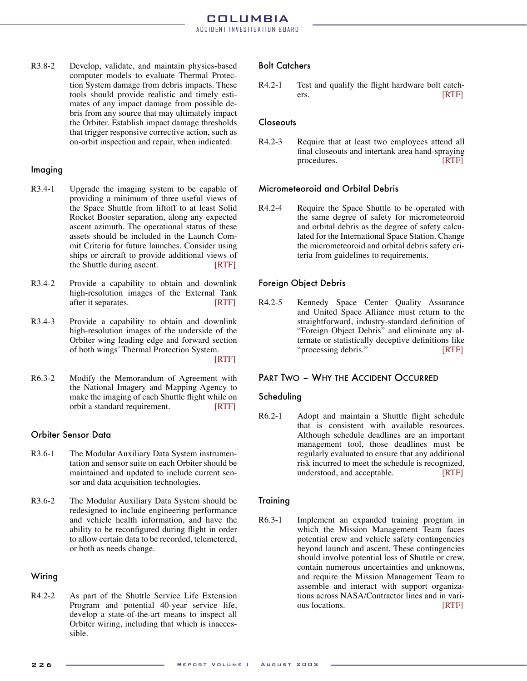R3.8-2 Develop, validate, and maintain physics-based computer models to evaluate Thermal Protection System damage from debris impacts. These tools should provide realistic and timely estimates of any impact damage from possible debris from any source that may ultimately impact the Orbiter. Establish impact damage thresholds that trigger responsive corrective action, such as on-orbit inspection and repair, when indicated.

#### Imaging

- R3.4-1 Upgrade the imaging system to be capable of providing a minimum of three useful views of the Space Shuttle from liftoff to at least Solid Rocket Booster separation, along any expected ascent azimuth. The operational status of these assets should be included in the Launch Commit Criteria for future launches. Consider using ships or aircraft to provide additional views of the Shuttle during ascent. [RTF]
- R3.4-2 Provide a capability to obtain and downlink high-resolution images of the External Tank after it separates. [RTF]
- R3.4-3 Provide a capability to obtain and downlink high-resolution images of the underside of the Orbiter wing leading edge and forward section of both wings' Thermal Protection System. [RTF]
- R6.3-2 Modify the Memorandum of Agreement with the National Imagery and Mapping Agency to make the imaging of each Shuttle flight while on orbit a standard requirement. [RTF]

# Orbiter Sensor Data

- R3.6-1 The Modular Auxiliary Data System instrumentation and sensor suite on each Orbiter should be maintained and updated to include current sensor and data acquisition technologies.
- R3.6-2 The Modular Auxiliary Data System should be redesigned to include engineering performance and vehicle health information, and have the ability to be reconfigured during flight in order to allow certain data to be recorded, telemetered, or both as needs change.

# Wiring

R4.2-2 As part of the Shuttle Service Life Extension Program and potential 40-year service life, develop a state-of-the-art means to inspect all Orbiter wiring, including that which is inaccessible.

#### Bolt Catchers

R4.2-1 Test and qualify the flight hardware bolt catchers. [RTF]

#### **Closeouts**

R4.2-3 Require that at least two employees attend all final closeouts and intertank area hand-spraying procedures. [RTF]

#### Micrometeoroid and Orbital Debris

R4.2-4 Require the Space Shuttle to be operated with the same degree of safety for micrometeoroid and orbital debris as the degree of safety calculated for the International Space Station. Change the micrometeoroid and orbital debris safety criteria from guidelines to requirements.

#### Foreign Object Debris

R4.2-5 Kennedy Space Center Quality Assurance and United Space Alliance must return to the straightforward, industry-standard definition of "Foreign Object Debris" and eliminate any alternate or statistically deceptive definitions like "processing debris." [RTF]

# PART TWO – WHY THE ACCIDENT OCCURRED

#### Scheduling

R6.2-1 Adopt and maintain a Shuttle flight schedule that is consistent with available resources. Although schedule deadlines are an important management tool, those deadlines must be regularly evaluated to ensure that any additional risk incurred to meet the schedule is recognized,<br>understood, and acceptable. [RTF] understood, and acceptable.

#### **Training**

R6.3-1 Implement an expanded training program in which the Mission Management Team faces potential crew and vehicle safety contingencies beyond launch and ascent. These contingencies should involve potential loss of Shuttle or crew, contain numerous uncertainties and unknowns, and require the Mission Management Team to assemble and interact with support organizations across NASA/Contractor lines and in various locations. [RTF]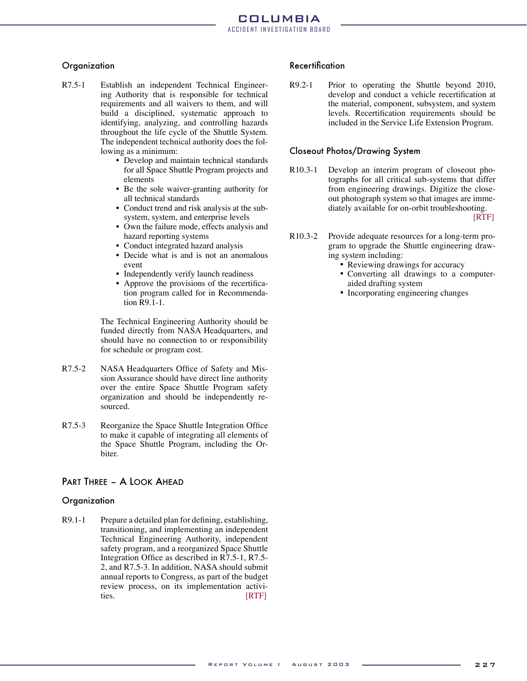#### **Organization**

- R7.5-1 Establish an independent Technical Engineering Authority that is responsible for technical requirements and all waivers to them, and will build a disciplined, systematic approach to identifying, analyzing, and controlling hazards throughout the life cycle of the Shuttle System. The independent technical authority does the following as a minimum:
	- Develop and maintain technical standards for all Space Shuttle Program projects and elements
	- Be the sole waiver-granting authority for all technical standards
	- Conduct trend and risk analysis at the subsystem, system, and enterprise levels
	- Own the failure mode, effects analysis and hazard reporting systems
	- Conduct integrated hazard analysis
	- Decide what is and is not an anomalous event
	- Independently verify launch readiness
	- Approve the provisions of the recertification program called for in Recommendation R9.1-1.

The Technical Engineering Authority should be funded directly from NASA Headquarters, and should have no connection to or responsibility for schedule or program cost.

- R7.5-2 NASA Headquarters Office of Safety and Mission Assurance should have direct line authority over the entire Space Shuttle Program safety organization and should be independently resourced.
- R7.5-3 Reorganize the Space Shuttle Integration Office to make it capable of integrating all elements of the Space Shuttle Program, including the Orbiter.

# PART THREE – A LOOK AHEAD

#### **Organization**

R9.1-1 Prepare a detailed plan for defining, establishing, transitioning, and implementing an independent Technical Engineering Authority, independent safety program, and a reorganized Space Shuttle Integration Office as described in R7.5-1, R7.5- 2, and R7.5-3. In addition, NASA should submit annual reports to Congress, as part of the budget review process, on its implementation activi-<br>ties. [RTF]  $[RTF]$ 

#### **Recertification**

R9.2-1 Prior to operating the Shuttle beyond 2010, develop and conduct a vehicle recertification at the material, component, subsystem, and system levels. Recertification requirements should be included in the Service Life Extension Program.

#### Closeout Photos/Drawing System

- R10.3-1 Develop an interim program of closeout photographs for all critical sub-systems that differ from engineering drawings. Digitize the closeout photograph system so that images are immediately available for on-orbit troubleshooting. [RTF]
- R10.3-2 Provide adequate resources for a long-term program to upgrade the Shuttle engineering drawing system including:
	- Reviewing drawings for accuracy
	- Converting all drawings to a computeraided drafting system
	- Incorporating engineering changes